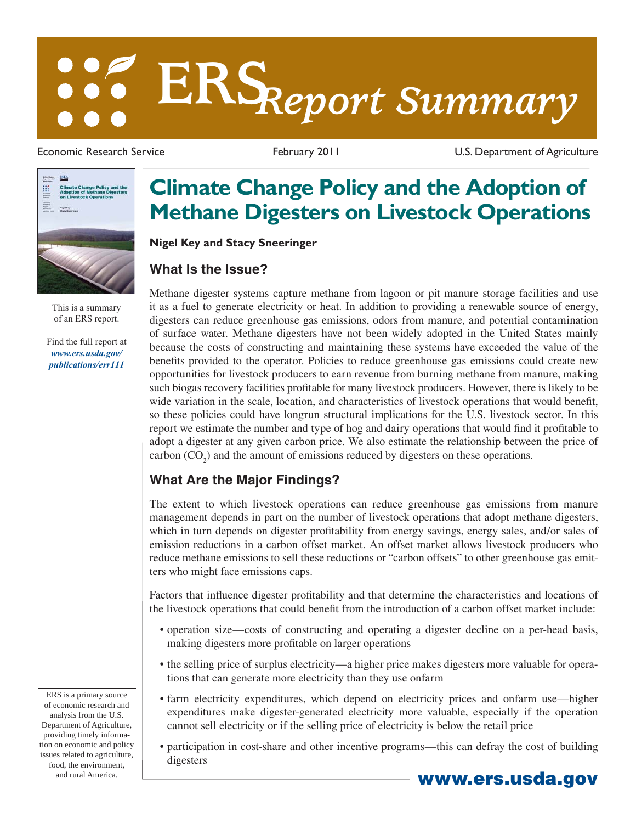# **ERS***Report Summary*



This is a summary of an ERS report.

[Find the full report at](/publications/err111/)  *www.ers.usda.gov/ publications/err111*

Economic Research Service **February 2011** February 2011 U.S. Department of Agriculture

## **Climate Change Policy and the Adoption of Methane Digesters on Livestock Operations**

**Nigel Key and Stacy Sneeringer**

### **What Is the Issue?**

Methane digester systems capture methane from lagoon or pit manure storage facilities and use it as a fuel to generate electricity or heat. In addition to providing a renewable source of energy, digesters can reduce greenhouse gas emissions, odors from manure, and potential contamination of surface water. Methane digesters have not been widely adopted in the United States mainly because the costs of constructing and maintaining these systems have exceeded the value of the benefits provided to the operator. Policies to reduce greenhouse gas emissions could create new opportunities for livestock producers to earn revenue from burning methane from manure, making such biogas recovery facilities profitable for many livestock producers. However, there is likely to be wide variation in the scale, location, and characteristics of livestock operations that would benefit, so these policies could have longrun structural implications for the U.S. livestock sector. In this report we estimate the number and type of hog and dairy operations that would find it profitable to adopt a digester at any given carbon price. We also estimate the relationship between the price of carbon  $(CO_2)$  and the amount of emissions reduced by digesters on these operations.

#### **What Are the Major Findings?**

The extent to which livestock operations can reduce greenhouse gas emissions from manure management depends in part on the number of livestock operations that adopt methane digesters, which in turn depends on digester profitability from energy savings, energy sales, and/or sales of emission reductions in a carbon offset market. An offset market allows livestock producers who reduce methane emissions to sell these reductions or "carbon offsets" to other greenhouse gas emitters who might face emissions caps.

Factors that influence digester profitability and that determine the characteristics and locations of the livestock operations that could benefit from the introduction of a carbon offset market include:

- operation size—costs of constructing and operating a digester decline on a per-head basis, making digesters more profitable on larger operations
- the selling price of surplus electricity—a higher price makes digesters more valuable for operations that can generate more electricity than they use onfarm
- farm electricity expenditures, which depend on electricity prices and onfarm use—higher expenditures make digester-generated electricity more valuable, especially if the operation cannot sell electricity or if the selling price of electricity is below the retail price
- participation in cost-share and other incentive programs—this can defray the cost of building digesters

ERS is a primary source of economic research and analysis from the U.S. Department of Agriculture, providing timely information on economic and policy issues related to agriculture, food, the environment, and rural America. **www.ers.usda.gov**